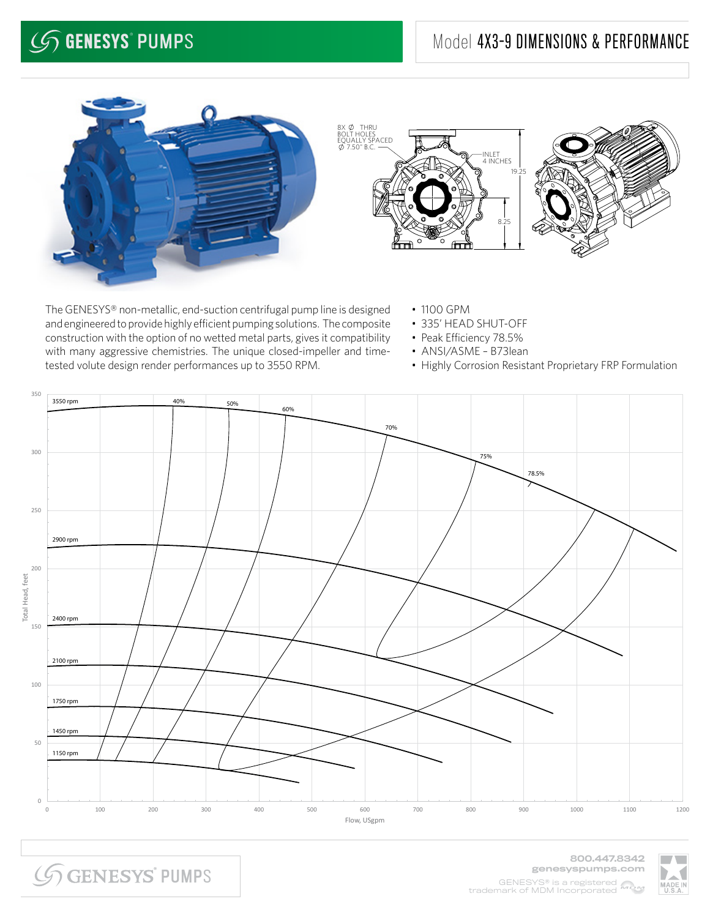## **GENESYS° PUMPS**

## Model 4X3-9 DIMENSIONS & PERFORMANCE





The GENESYS® non-metallic, end-suction centrifugal pump line is designed and engineered to provide highly efficient pumping solutions. The composite construction with the option of no wetted metal parts, gives it compatibility with many aggressive chemistries. The unique closed-impeller and timetested volute design render performances up to 3550 RPM.

- 1100 GPM
- 335' HEAD SHUT-OFF
- Peak Efficiency 78.5%
- ANSI/ASME B73lean
- Highly Corrosion Resistant Proprietary FRP Formulation



**SGENESYS PUMPS** 

800.447.8342 genesyspumps.com GENESYS® is a registered MON trademark of MDM Incorporated

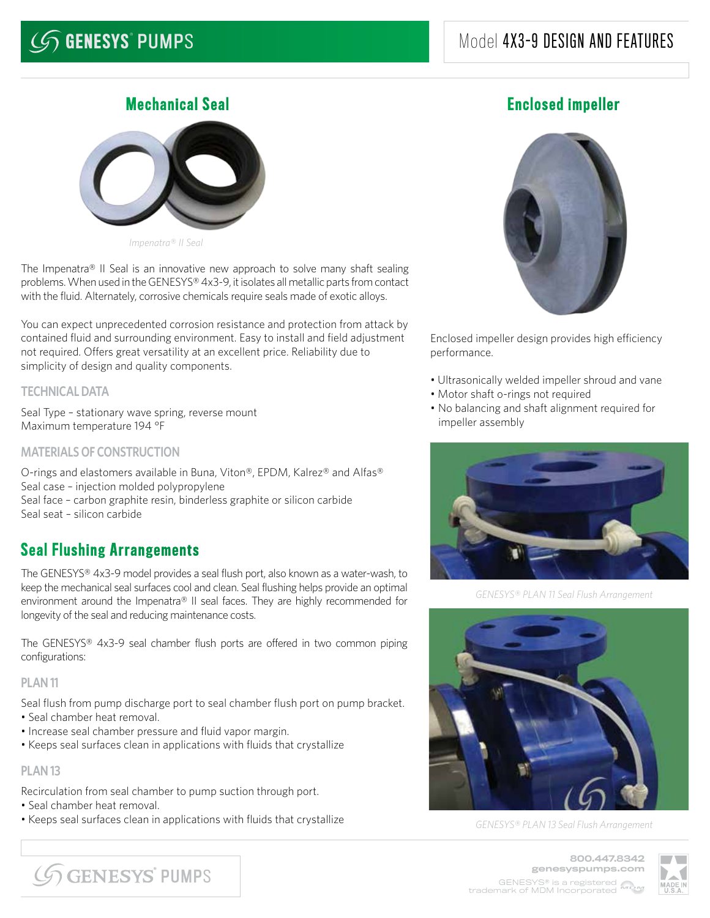## **GENESYS° PUMPS**

## Model 4X3-9 DESIGN AND FEATURES



*Impenatra® II Seal*

The Impenatra® II Seal is an innovative new approach to solve many shaft sealing problems. When used in the GENESYS® 4x3-9, it isolates all metallic parts from contact with the fluid. Alternately, corrosive chemicals require seals made of exotic alloys.

You can expect unprecedented corrosion resistance and protection from attack by contained fluid and surrounding environment. Easy to install and field adjustment not required. Offers great versatility at an excellent price. Reliability due to simplicity of design and quality components.

### **TECHNICAL DATA**

Seal Type – stationary wave spring, reverse mount Maximum temperature 194 °F

#### **MATERIALS OF CONSTRUCTION**

O-rings and elastomers available in Buna, Viton®, EPDM, Kalrez® and Alfas® Seal case – injection molded polypropylene Seal face – carbon graphite resin, binderless graphite or silicon carbide Seal seat – silicon carbide

## Seal Flushing Arrangements

The GENESYS® 4x3-9 model provides a seal flush port, also known as a water-wash, to keep the mechanical seal surfaces cool and clean. Seal flushing helps provide an optimal environment around the Impenatra® II seal faces. They are highly recommended for longevity of the seal and reducing maintenance costs.

The GENESYS® 4x3-9 seal chamber flush ports are offered in two common piping configurations:

#### **PLAN 11**

Seal flush from pump discharge port to seal chamber flush port on pump bracket.

- Seal chamber heat removal.
- Increase seal chamber pressure and fluid vapor margin.
- Keeps seal surfaces clean in applications with fluids that crystallize

#### **PLAN 13**

Recirculation from seal chamber to pump suction through port.

- Seal chamber heat removal.
- Keeps seal surfaces clean in applications with fluids that crystallize

## **Mechanical Seal Enclosed impeller**



Enclosed impeller design provides high efficiency performance.

- Ultrasonically welded impeller shroud and vane
- Motor shaft o-rings not required
- No balancing and shaft alignment required for impeller assembly



*GENESYS® PLAN 11 Seal Flush Arrangement*



*GENESYS® PLAN 13 Seal Flush Arrangement*

**GENESYS PUMPS** 

800.447.8342 genesyspumps.com GENESYS® is a registered **WRW** trademark of MDM Incorporated